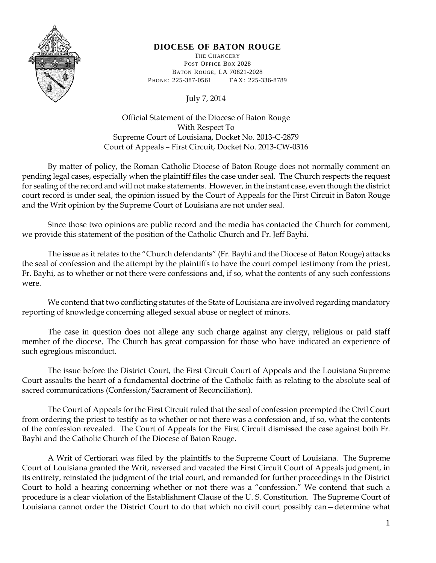

## **DIOCESE OF BATON ROUGE**

THE CHANCERY POST OFFICE BOX 2028 BATON ROUGE, LA 70821-2028 PHONE: 225-387-0561 FAX: 225-336-8789

July 7, 2014

Official Statement of the Diocese of Baton Rouge With Respect To Supreme Court of Louisiana, Docket No. 2013-C-2879 Court of Appeals – First Circuit, Docket No. 2013-CW-0316

By matter of policy, the Roman Catholic Diocese of Baton Rouge does not normally comment on pending legal cases, especially when the plaintiff files the case under seal. The Church respects the request for sealing of the record and will not make statements. However, in the instant case, even though the district court record is under seal, the opinion issued by the Court of Appeals for the First Circuit in Baton Rouge and the Writ opinion by the Supreme Court of Louisiana are not under seal.

Since those two opinions are public record and the media has contacted the Church for comment, we provide this statement of the position of the Catholic Church and Fr. Jeff Bayhi.

The issue as it relates to the "Church defendants" (Fr. Bayhi and the Diocese of Baton Rouge) attacks the seal of confession and the attempt by the plaintiffs to have the court compel testimony from the priest, Fr. Bayhi, as to whether or not there were confessions and, if so, what the contents of any such confessions were.

We contend that two conflicting statutes of the State of Louisiana are involved regarding mandatory reporting of knowledge concerning alleged sexual abuse or neglect of minors.

The case in question does not allege any such charge against any clergy, religious or paid staff member of the diocese. The Church has great compassion for those who have indicated an experience of such egregious misconduct.

The issue before the District Court, the First Circuit Court of Appeals and the Louisiana Supreme Court assaults the heart of a fundamental doctrine of the Catholic faith as relating to the absolute seal of sacred communications (Confession/Sacrament of Reconciliation).

The Court of Appeals for the First Circuit ruled that the seal of confession preempted the Civil Court from ordering the priest to testify as to whether or not there was a confession and, if so, what the contents of the confession revealed. The Court of Appeals for the First Circuit dismissed the case against both Fr. Bayhi and the Catholic Church of the Diocese of Baton Rouge.

A Writ of Certiorari was filed by the plaintiffs to the Supreme Court of Louisiana. The Supreme Court of Louisiana granted the Writ, reversed and vacated the First Circuit Court of Appeals judgment, in its entirety, reinstated the judgment of the trial court, and remanded for further proceedings in the District Court to hold a hearing concerning whether or not there was a "confession." We contend that such a procedure is a clear violation of the Establishment Clause of the U. S. Constitution. The Supreme Court of Louisiana cannot order the District Court to do that which no civil court possibly can—determine what